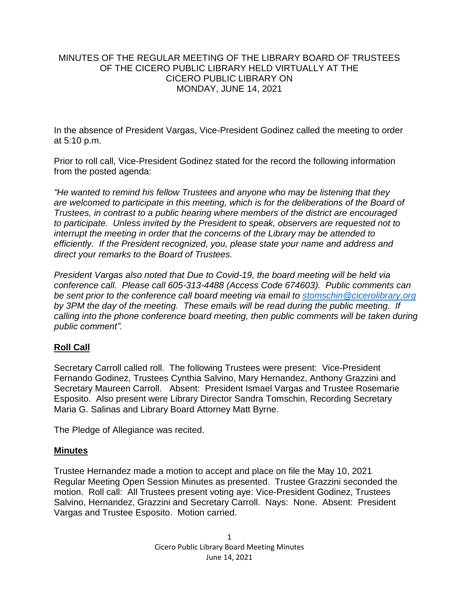### MINUTES OF THE REGULAR MEETING OF THE LIBRARY BOARD OF TRUSTEES OF THE CICERO PUBLIC LIBRARY HELD VIRTUALLY AT THE CICERO PUBLIC LIBRARY ON MONDAY, JUNE 14, 2021

In the absence of President Vargas, Vice-President Godinez called the meeting to order at 5:10 p.m.

Prior to roll call, Vice-President Godinez stated for the record the following information from the posted agenda:

*"He wanted to remind his fellow Trustees and anyone who may be listening that they are welcomed to participate in this meeting, which is for the deliberations of the Board of Trustees, in contrast to a public hearing where members of the district are encouraged to participate. Unless invited by the President to speak, observers are requested not to interrupt the meeting in order that the concerns of the Library may be attended to efficiently. If the President recognized, you, please state your name and address and direct your remarks to the Board of Trustees.* 

*President Vargas also noted that Due to Covid-19, the board meeting will be held via conference call. Please call 605-313-4488 (Access Code 674603). Public comments can be sent prior to the conference call board meeting via email to [stomschin@cicerolibrary.org](mailto:stomschin@cicerolibrary.org) by 3PM the day of the meeting. These emails will be read during the public meeting. If calling into the phone conference board meeting, then public comments will be taken during public comment".*

# **Roll Call**

Secretary Carroll called roll. The following Trustees were present: Vice-President Fernando Godinez, Trustees Cynthia Salvino, Mary Hernandez, Anthony Grazzini and Secretary Maureen Carroll. Absent: President Ismael Vargas and Trustee Rosemarie Esposito. Also present were Library Director Sandra Tomschin, Recording Secretary Maria G. Salinas and Library Board Attorney Matt Byrne.

The Pledge of Allegiance was recited.

### **Minutes**

Trustee Hernandez made a motion to accept and place on file the May 10, 2021 Regular Meeting Open Session Minutes as presented. Trustee Grazzini seconded the motion. Roll call: All Trustees present voting aye: Vice-President Godinez, Trustees Salvino, Hernandez, Grazzini and Secretary Carroll. Nays: None. Absent: President Vargas and Trustee Esposito. Motion carried.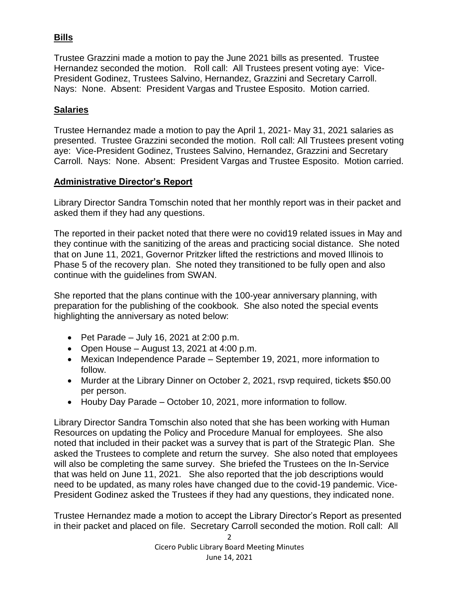# **Bills**

Trustee Grazzini made a motion to pay the June 2021 bills as presented. Trustee Hernandez seconded the motion. Roll call: All Trustees present voting aye: Vice-President Godinez, Trustees Salvino, Hernandez, Grazzini and Secretary Carroll. Nays: None. Absent: President Vargas and Trustee Esposito. Motion carried.

# **Salaries**

Trustee Hernandez made a motion to pay the April 1, 2021- May 31, 2021 salaries as presented. Trustee Grazzini seconded the motion. Roll call: All Trustees present voting aye: Vice-President Godinez, Trustees Salvino, Hernandez, Grazzini and Secretary Carroll. Nays: None. Absent: President Vargas and Trustee Esposito. Motion carried.

### **Administrative Director's Report**

Library Director Sandra Tomschin noted that her monthly report was in their packet and asked them if they had any questions.

The reported in their packet noted that there were no covid19 related issues in May and they continue with the sanitizing of the areas and practicing social distance. She noted that on June 11, 2021, Governor Pritzker lifted the restrictions and moved Illinois to Phase 5 of the recovery plan. She noted they transitioned to be fully open and also continue with the guidelines from SWAN.

She reported that the plans continue with the 100-year anniversary planning, with preparation for the publishing of the cookbook. She also noted the special events highlighting the anniversary as noted below:

- Pet Parade July 16, 2021 at 2:00 p.m.
- Open House August 13, 2021 at  $4:00$  p.m.
- Mexican Independence Parade September 19, 2021, more information to follow.
- Murder at the Library Dinner on October 2, 2021, rsvp required, tickets \$50.00 per person.
- Houby Day Parade October 10, 2021, more information to follow.

Library Director Sandra Tomschin also noted that she has been working with Human Resources on updating the Policy and Procedure Manual for employees. She also noted that included in their packet was a survey that is part of the Strategic Plan. She asked the Trustees to complete and return the survey. She also noted that employees will also be completing the same survey. She briefed the Trustees on the In-Service that was held on June 11, 2021. She also reported that the job descriptions would need to be updated, as many roles have changed due to the covid-19 pandemic. Vice-President Godinez asked the Trustees if they had any questions, they indicated none.

Trustee Hernandez made a motion to accept the Library Director's Report as presented in their packet and placed on file. Secretary Carroll seconded the motion. Roll call: All

> 2 Cicero Public Library Board Meeting Minutes June 14, 2021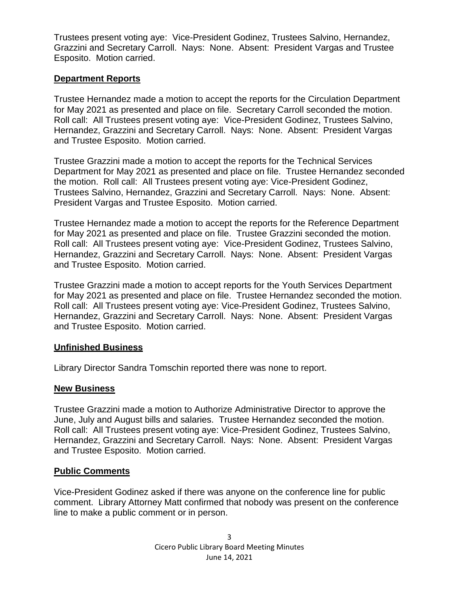Trustees present voting aye: Vice-President Godinez, Trustees Salvino, Hernandez, Grazzini and Secretary Carroll. Nays: None. Absent: President Vargas and Trustee Esposito. Motion carried.

### **Department Reports**

Trustee Hernandez made a motion to accept the reports for the Circulation Department for May 2021 as presented and place on file. Secretary Carroll seconded the motion. Roll call: All Trustees present voting aye: Vice-President Godinez, Trustees Salvino, Hernandez, Grazzini and Secretary Carroll. Nays: None. Absent: President Vargas and Trustee Esposito. Motion carried.

Trustee Grazzini made a motion to accept the reports for the Technical Services Department for May 2021 as presented and place on file. Trustee Hernandez seconded the motion. Roll call: All Trustees present voting aye: Vice-President Godinez, Trustees Salvino, Hernandez, Grazzini and Secretary Carroll. Nays: None. Absent: President Vargas and Trustee Esposito. Motion carried.

Trustee Hernandez made a motion to accept the reports for the Reference Department for May 2021 as presented and place on file. Trustee Grazzini seconded the motion. Roll call: All Trustees present voting aye: Vice-President Godinez, Trustees Salvino, Hernandez, Grazzini and Secretary Carroll. Nays: None. Absent: President Vargas and Trustee Esposito. Motion carried.

Trustee Grazzini made a motion to accept reports for the Youth Services Department for May 2021 as presented and place on file. Trustee Hernandez seconded the motion. Roll call: All Trustees present voting aye: Vice-President Godinez, Trustees Salvino, Hernandez, Grazzini and Secretary Carroll. Nays: None. Absent: President Vargas and Trustee Esposito. Motion carried.

### **Unfinished Business**

Library Director Sandra Tomschin reported there was none to report.

# **New Business**

Trustee Grazzini made a motion to Authorize Administrative Director to approve the June, July and August bills and salaries. Trustee Hernandez seconded the motion. Roll call: All Trustees present voting aye: Vice-President Godinez, Trustees Salvino, Hernandez, Grazzini and Secretary Carroll. Nays: None. Absent: President Vargas and Trustee Esposito. Motion carried.

### **Public Comments**

Vice-President Godinez asked if there was anyone on the conference line for public comment. Library Attorney Matt confirmed that nobody was present on the conference line to make a public comment or in person.